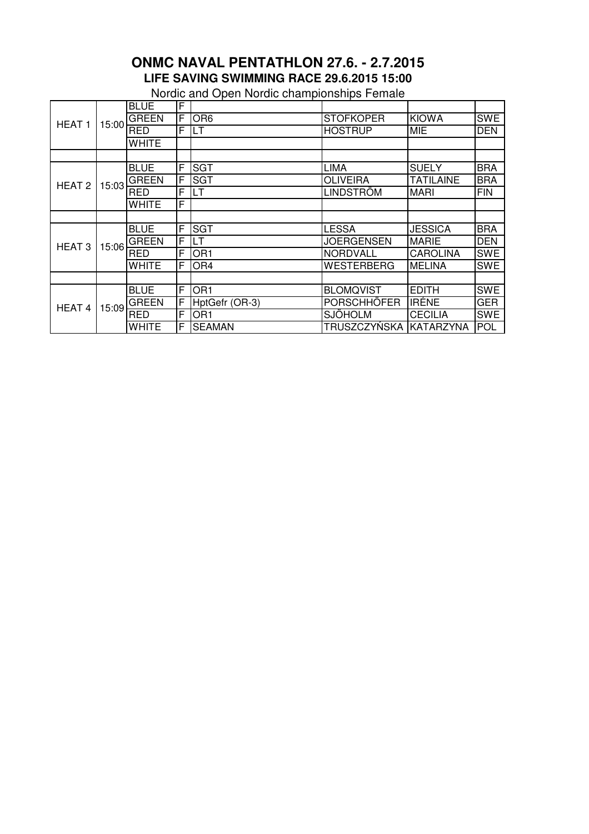## **ONMC NAVAL PENTATHLON 27.6. - 2.7.2015 LIFE SAVING SWIMMING RACE 29.6.2015 15:00**

Nordic and Open Nordic championships Female

| HEAT <sub>1</sub> | 15:00 | <b>BLUE</b>  | F  |                 |                    |                  |            |
|-------------------|-------|--------------|----|-----------------|--------------------|------------------|------------|
|                   |       | <b>GREEN</b> | F  | OR <sub>6</sub> | <b>STOFKOPER</b>   | <b>KIOWA</b>     | <b>SWE</b> |
|                   |       | <b>RED</b>   | F  | LT              | <b>HOSTRUP</b>     | <b>MIE</b>       | <b>DEN</b> |
|                   |       | <b>WHITE</b> |    |                 |                    |                  |            |
|                   |       |              |    |                 |                    |                  |            |
| HEAT <sub>2</sub> | 15:03 | <b>BLUE</b>  | F  | <b>SGT</b>      | <b>LIMA</b>        | <b>SUELY</b>     | <b>BRA</b> |
|                   |       | <b>GREEN</b> | F  | <b>SGT</b>      | <b>OLIVEIRA</b>    | <b>TATILAINE</b> | <b>BRA</b> |
|                   |       | <b>RED</b>   | F  | LT              | <b>LINDSTRÖM</b>   | <b>MARI</b>      | <b>FIN</b> |
|                   |       | <b>WHITE</b> | F  |                 |                    |                  |            |
|                   |       |              |    |                 |                    |                  |            |
| HEAT <sub>3</sub> | 15:06 | <b>BLUE</b>  | F  | <b>SGT</b>      | <b>LESSA</b>       | <b>JESSICA</b>   | <b>BRA</b> |
|                   |       | <b>GREEN</b> | IF | LT              | <b>JOERGENSEN</b>  | <b>MARIE</b>     | <b>DEN</b> |
|                   |       | <b>RED</b>   | F  | OR <sub>1</sub> | <b>NORDVALL</b>    | <b>CAROLINA</b>  | <b>SWE</b> |
|                   |       | <b>WHITE</b> | F  | OR <sub>4</sub> | <b>WESTERBERG</b>  | <b>MELINA</b>    | <b>SWE</b> |
|                   |       |              |    |                 |                    |                  |            |
| HEAT 4            | 15:09 | <b>BLUE</b>  | F  | OR <sub>1</sub> | <b>BLOMQVIST</b>   | <b>EDITH</b>     | <b>SWE</b> |
|                   |       | <b>GREEN</b> | F  | HptGefr (OR-3)  | <b>PORSCHHÖFER</b> | <b>IRÉNE</b>     | <b>GER</b> |
|                   |       | <b>RED</b>   | F  | OR <sub>1</sub> | <b>SJÖHOLM</b>     | <b>CECILIA</b>   | <b>SWE</b> |
|                   |       | <b>WHITE</b> | F  | <b>SEAMAN</b>   | TRUSZCZYŃSKA       | KATARZYNA        | POL        |